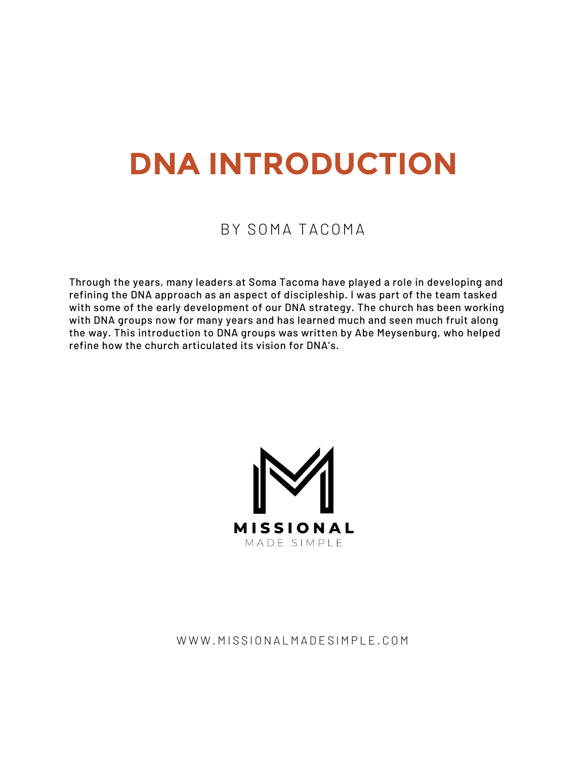# **DNA INTRODUCTION**

## BY SOMA TACOMA

Through the years, many leaders at Soma Tacoma have played a role in developing and refining the DNA approach as an aspect of discipleship. I was part of the team tasked with some of the early development of our DNA strategy. The church has been working with DNA groups now for many years and has learned much and seen much fruit along the way. This introduction to DNA groups was written by Abe Meysenburg, who helped refine how the church articulated its vision for DNA's.



## WWW.MISSIONALMADESIMPLE.COM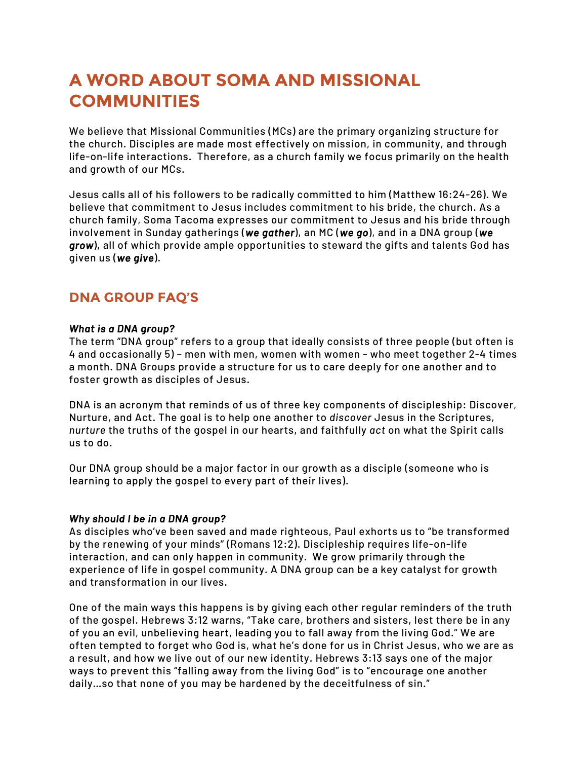# **A WORD ABOUT SOMA AND MISSIONAL COMMUNITIES**

We believe that Missional Communities (MCs) are the primary organizing structure for the church. Disciples are made most effectively on mission, in community, and through life-on-life interactions. Therefore, as a church family we focus primarily on the health and growth of our MCs.

Jesus calls all of his followers to be radically committed to him (Matthew 16:24-26). We believe that commitment to Jesus includes commitment to his bride, the church. As a church family, Soma Tacoma expresses our commitment to Jesus and his bride through involvement in Sunday gatherings (*we gather*), an MC (*we go*), and in a DNA group (*we grow*), all of which provide ample opportunities to steward the gifts and talents God has given us (*we give*).

## **DNA GROUP FAQ'S**

#### *What is a DNA group?*

The term "DNA group" refers to a group that ideally consists of three people (but often is 4 and occasionally 5) – men with men, women with women - who meet together 2-4 times a month. DNA Groups provide a structure for us to care deeply for one another and to foster growth as disciples of Jesus.

DNA is an acronym that reminds of us of three key components of discipleship: Discover, Nurture, and Act. The goal is to help one another to *discover* Jesus in the Scriptures, *nurture* the truths of the gospel in our hearts, and faithfully *act* on what the Spirit calls us to do.

Our DNA group should be a major factor in our growth as a disciple (someone who is learning to apply the gospel to every part of their lives).

#### *Why should I be in a DNA group?*

As disciples who've been saved and made righteous, Paul exhorts us to "be transformed by the renewing of your minds" (Romans 12:2). Discipleship requires life-on-life interaction, and can only happen in community. We grow primarily through the experience of life in gospel community. A DNA group can be a key catalyst for growth and transformation in our lives.

One of the main ways this happens is by giving each other regular reminders of the truth of the gospel. Hebrews 3:12 warns, "Take care, brothers and sisters, lest there be in any of you an evil, unbelieving heart, leading you to fall away from the living God." We are often tempted to forget who God is, what he's done for us in Christ Jesus, who we are as a result, and how we live out of our new identity. Hebrews 3:13 says one of the major ways to prevent this "falling away from the living God" is to "encourage one another daily…so that none of you may be hardened by the deceitfulness of sin."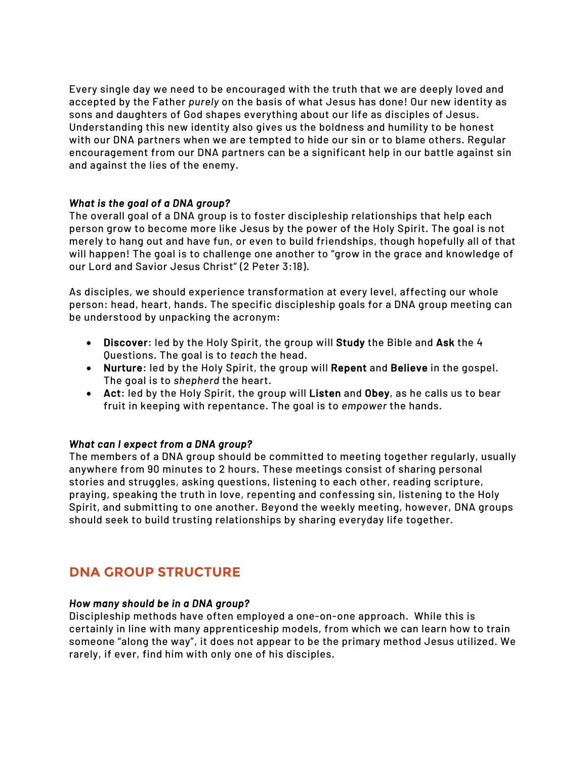Every single day we need to be encouraged with the truth that we are deeply loved and accepted by the Father *purely* on the basis of what Jesus has done! Our new identity as sons and daughters of God shapes everything about our life as disciples of Jesus. Understanding this new identity also gives us the boldness and humility to be honest with our DNA partners when we are tempted to hide our sin or to blame others. Regular encouragement from our DNA partners can be a significant help in our battle against sin and against the lies of the enemy.

#### *What is the goal of a DNA group?*

The overall goal of a DNA group is to foster discipleship relationships that help each person grow to become more like Jesus by the power of the Holy Spirit. The goal is not merely to hang out and have fun, or even to build friendships, though hopefully all of that will happen! The goal is to challenge one another to "grow in the grace and knowledge of our Lord and Savior Jesus Christ" (2 Peter 3:18).

As disciples, we should experience transformation at every level, affecting our whole person: head, heart, hands. The specific discipleship goals for a DNA group meeting can be understood by unpacking the acronym:

- Discover: led by the Holy Spirit, the group will Study the Bible and Ask the 4 Questions. The goal is to *teach* the head.
- Nurture: led by the Holy Spirit, the group will Repent and Believe in the gospel. The goal is to *shepherd* the heart.
- Act: led by the Holy Spirit, the group will Listen and Obey, as he calls us to bear fruit in keeping with repentance. The goal is to *empower* the hands.

#### *What can I expect from a DNA group?*

The members of a DNA group should be committed to meeting together regularly, usually anywhere from 90 minutes to 2 hours. These meetings consist of sharing personal stories and struggles, asking questions, listening to each other, reading scripture, praying, speaking the truth in love, repenting and confessing sin, listening to the Holy Spirit, and submitting to one another. Beyond the weekly meeting, however, DNA groups should seek to build trusting relationships by sharing everyday life together.

## **DNA GROUP STRUCTURE**

#### *How many should be in a DNA group?*

Discipleship methods have often employed a one-on-one approach. While this is certainly in line with many apprenticeship models, from which we can learn how to train someone "along the way", it does not appear to be the primary method Jesus utilized. We rarely, if ever, find him with only one of his disciples.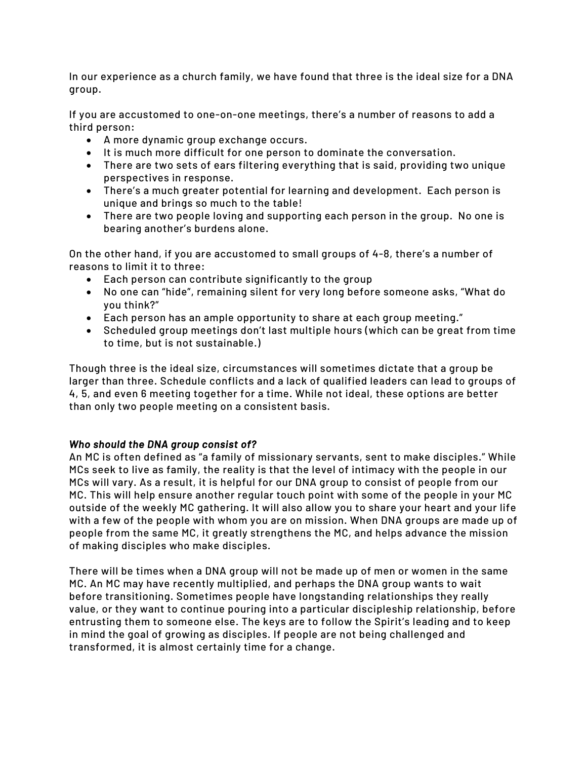In our experience as a church family, we have found that three is the ideal size for a DNA group.

If you are accustomed to one-on-one meetings, there's a number of reasons to add a third person:

- A more dynamic group exchange occurs.
- It is much more difficult for one person to dominate the conversation.
- There are two sets of ears filtering everything that is said, providing two unique perspectives in response.
- There's a much greater potential for learning and development. Each person is unique and brings so much to the table!
- There are two people loving and supporting each person in the group. No one is bearing another's burdens alone.

On the other hand, if you are accustomed to small groups of 4-8, there's a number of reasons to limit it to three:

- Each person can contribute significantly to the group
- No one can "hide", remaining silent for very long before someone asks, "What do you think?"
- Each person has an ample opportunity to share at each group meeting."
- Scheduled group meetings don't last multiple hours (which can be great from time to time, but is not sustainable.)

Though three is the ideal size, circumstances will sometimes dictate that a group be larger than three. Schedule conflicts and a lack of qualified leaders can lead to groups of 4, 5, and even 6 meeting together for a time. While not ideal, these options are better than only two people meeting on a consistent basis.

#### *Who should the DNA group consist of?*

An MC is often defined as "a family of missionary servants, sent to make disciples." While MCs seek to live as family, the reality is that the level of intimacy with the people in our MCs will vary. As a result, it is helpful for our DNA group to consist of people from our MC. This will help ensure another regular touch point with some of the people in your MC outside of the weekly MC gathering. It will also allow you to share your heart and your life with a few of the people with whom you are on mission. When DNA groups are made up of people from the same MC, it greatly strengthens the MC, and helps advance the mission of making disciples who make disciples.

There will be times when a DNA group will not be made up of men or women in the same MC. An MC may have recently multiplied, and perhaps the DNA group wants to wait before transitioning. Sometimes people have longstanding relationships they really value, or they want to continue pouring into a particular discipleship relationship, before entrusting them to someone else. The keys are to follow the Spirit's leading and to keep in mind the goal of growing as disciples. If people are not being challenged and transformed, it is almost certainly time for a change.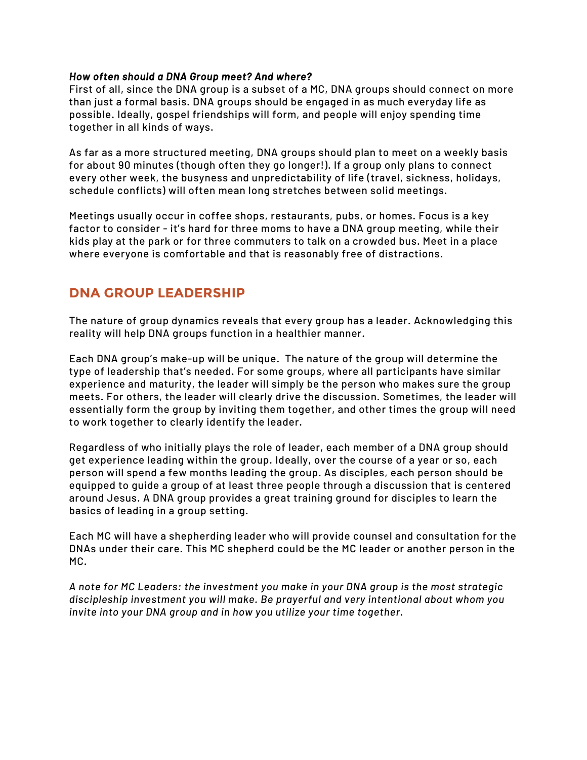#### *How often should a DNA Group meet? And where?*

First of all, since the DNA group is a subset of a MC, DNA groups should connect on more than just a formal basis. DNA groups should be engaged in as much everyday life as possible. Ideally, gospel friendships will form, and people will enjoy spending time together in all kinds of ways.

As far as a more structured meeting, DNA groups should plan to meet on a weekly basis for about 90 minutes (though often they go longer!). If a group only plans to connect every other week, the busyness and unpredictability of life (travel, sickness, holidays, schedule conflicts) will often mean long stretches between solid meetings.

Meetings usually occur in coffee shops, restaurants, pubs, or homes. Focus is a key factor to consider - it's hard for three moms to have a DNA group meeting, while their kids play at the park or for three commuters to talk on a crowded bus. Meet in a place where everyone is comfortable and that is reasonably free of distractions.

## **DNA GROUP LEADERSHIP**

The nature of group dynamics reveals that every group has a leader. Acknowledging this reality will help DNA groups function in a healthier manner.

Each DNA group's make-up will be unique. The nature of the group will determine the type of leadership that's needed. For some groups, where all participants have similar experience and maturity, the leader will simply be the person who makes sure the group meets. For others, the leader will clearly drive the discussion. Sometimes, the leader will essentially form the group by inviting them together, and other times the group will need to work together to clearly identify the leader.

Regardless of who initially plays the role of leader, each member of a DNA group should get experience leading within the group. Ideally, over the course of a year or so, each person will spend a few months leading the group. As disciples, each person should be equipped to guide a group of at least three people through a discussion that is centered around Jesus. A DNA group provides a great training ground for disciples to learn the basics of leading in a group setting.

Each MC will have a shepherding leader who will provide counsel and consultation for the DNAs under their care. This MC shepherd could be the MC leader or another person in the MC.

*A note for MC Leaders: the investment you make in your DNA group is the most strategic discipleship investment you will make. Be prayerful and very intentional about whom you invite into your DNA group and in how you utilize your time together.*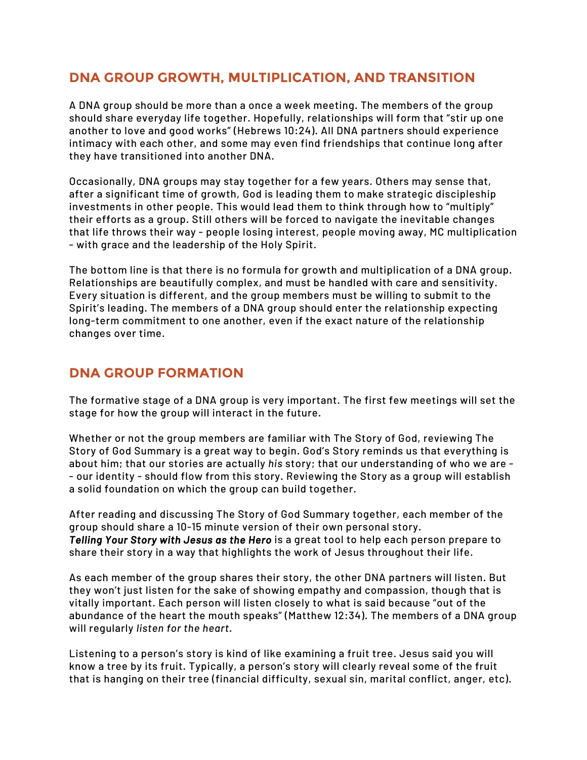## **DNA GROUP GROWTH, MULTIPLICATION, AND TRANSITION**

A DNA group should be more than a once a week meeting. The members of the group should share everyday life together. Hopefully, relationships will form that "stir up one another to love and good works" (Hebrews 10:24). All DNA partners should experience intimacy with each other, and some may even find friendships that continue long after they have transitioned into another DNA.

Occasionally, DNA groups may stay together for a few years. Others may sense that, after a significant time of growth, God is leading them to make strategic discipleship investments in other people. This would lead them to think through how to "multiply" their efforts as a group. Still others will be forced to navigate the inevitable changes that life throws their way - people losing interest, people moving away, MC multiplication - with grace and the leadership of the Holy Spirit.

The bottom line is that there is no formula for growth and multiplication of a DNA group. Relationships are beautifully complex, and must be handled with care and sensitivity. Every situation is different, and the group members must be willing to submit to the Spirit's leading. The members of a DNA group should enter the relationship expecting long-term commitment to one another, even if the exact nature of the relationship changes over time.

## **DNA GROUP FORMATION**

The formative stage of a DNA group is very important. The first few meetings will set the stage for how the group will interact in the future.

Whether or not the group members are familiar with The Story of God, reviewing The Story of God Summary is a great way to begin. God's Story reminds us that everything is about him; that our stories are actually *his* story; that our understanding of who we are - - our identity - should flow from this story. Reviewing the Story as a group will establish a solid foundation on which the group can build together.

After reading and discussing The Story of God Summary together, each member of the group should share a 10-15 minute version of their own personal story. *Telling Your Story with Jesus as the Hero* is a great tool to help each person prepare to share their story in a way that highlights the work of Jesus throughout their life.

As each member of the group shares their story, the other DNA partners will listen. But they won't just listen for the sake of showing empathy and compassion, though that is vitally important. Each person will listen closely to what is said because "out of the abundance of the heart the mouth speaks" (Matthew 12:34). The members of a DNA group will regularly *listen for the heart*.

Listening to a person's story is kind of like examining a fruit tree. Jesus said you will know a tree by its fruit. Typically, a person's story will clearly reveal some of the fruit that is hanging on their tree (financial difficulty, sexual sin, marital conflict, anger, etc).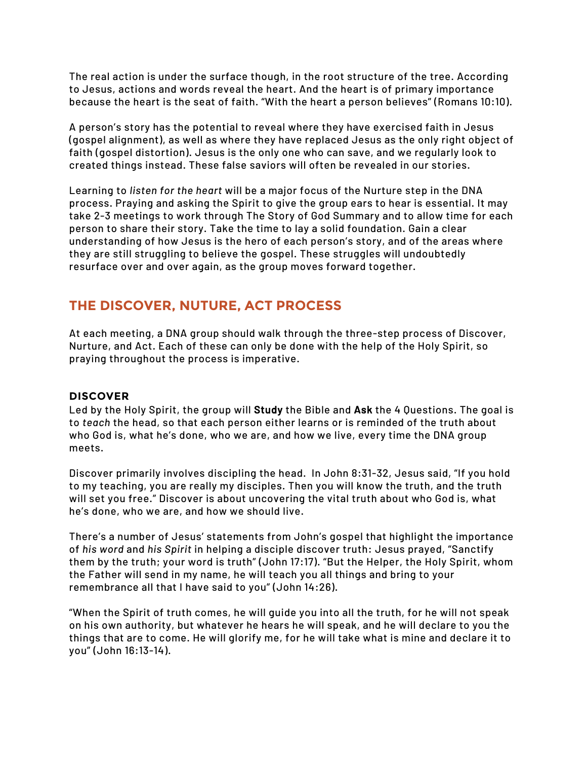The real action is under the surface though, in the root structure of the tree. According to Jesus, actions and words reveal the heart. And the heart is of primary importance because the heart is the seat of faith. "With the heart a person believes" (Romans 10:10).

A person's story has the potential to reveal where they have exercised faith in Jesus (gospel alignment), as well as where they have replaced Jesus as the only right object of faith (gospel distortion). Jesus is the only one who can save, and we regularly look to created things instead. These false saviors will often be revealed in our stories.

Learning to *listen for the heart* will be a major focus of the Nurture step in the DNA process. Praying and asking the Spirit to give the group ears to hear is essential. It may take 2-3 meetings to work through The Story of God Summary and to allow time for each person to share their story. Take the time to lay a solid foundation. Gain a clear understanding of how Jesus is the hero of each person's story, and of the areas where they are still struggling to believe the gospel. These struggles will undoubtedly resurface over and over again, as the group moves forward together.

## **THE DISCOVER, NUTURE, ACT PROCESS**

At each meeting, a DNA group should walk through the three-step process of Discover, Nurture, and Act. Each of these can only be done with the help of the Holy Spirit, so praying throughout the process is imperative.

#### **DISCOVER**

Led by the Holy Spirit, the group will Study the Bible and Ask the 4 Questions. The goal is to *teach* the head, so that each person either learns or is reminded of the truth about who God is, what he's done, who we are, and how we live, every time the DNA group meets.

Discover primarily involves discipling the head. In John 8:31-32, Jesus said, "If you hold to my teaching, you are really my disciples. Then you will know the truth, and the truth will set you free." Discover is about uncovering the vital truth about who God is, what he's done, who we are, and how we should live.

There's a number of Jesus' statements from John's gospel that highlight the importance of *his word* and *his Spirit* in helping a disciple discover truth: Jesus prayed, "Sanctify them by the truth; your word is truth" (John 17:17). "But the Helper, the Holy Spirit, whom the Father will send in my name, he will teach you all things and bring to your remembrance all that I have said to you" (John 14:26).

"When the Spirit of truth comes, he will guide you into all the truth, for he will not speak on his own authority, but whatever he hears he will speak, and he will declare to you the things that are to come. He will glorify me, for he will take what is mine and declare it to you" (John 16:13-14).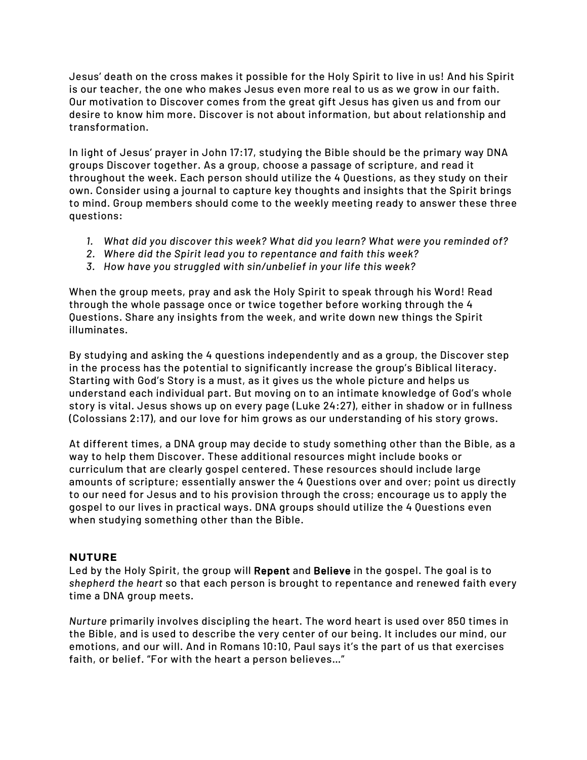Jesus' death on the cross makes it possible for the Holy Spirit to live in us! And his Spirit is our teacher, the one who makes Jesus even more real to us as we grow in our faith. Our motivation to Discover comes from the great gift Jesus has given us and from our desire to know him more. Discover is not about information, but about relationship and transformation.

In light of Jesus' prayer in John 17:17, studying the Bible should be the primary way DNA groups Discover together. As a group, choose a passage of scripture, and read it throughout the week. Each person should utilize the 4 Questions, as they study on their own. Consider using a journal to capture key thoughts and insights that the Spirit brings to mind. Group members should come to the weekly meeting ready to answer these three questions:

- *1. What did you discover this week? What did you learn? What were you reminded of?*
- *2. Where did the Spirit lead you to repentance and faith this week?*
- *3. How have you struggled with sin/unbelief in your life this week?*

When the group meets, pray and ask the Holy Spirit to speak through his Word! Read through the whole passage once or twice together before working through the 4 Questions. Share any insights from the week, and write down new things the Spirit illuminates.

By studying and asking the 4 questions independently and as a group, the Discover step in the process has the potential to significantly increase the group's Biblical literacy. Starting with God's Story is a must, as it gives us the whole picture and helps us understand each individual part. But moving on to an intimate knowledge of God's whole story is vital. Jesus shows up on every page (Luke 24:27), either in shadow or in fullness (Colossians 2:17), and our love for him grows as our understanding of his story grows.

At different times, a DNA group may decide to study something other than the Bible, as a way to help them Discover. These additional resources might include books or curriculum that are clearly gospel centered. These resources should include large amounts of scripture; essentially answer the 4 Questions over and over; point us directly to our need for Jesus and to his provision through the cross; encourage us to apply the gospel to our lives in practical ways. DNA groups should utilize the 4 Questions even when studying something other than the Bible.

#### **NUTURE**

Led by the Holy Spirit, the group will Repent and Believe in the gospel. The goal is to *shepherd the heart* so that each person is brought to repentance and renewed faith every time a DNA group meets.

*Nurture* primarily involves discipling the heart. The word heart is used over 850 times in the Bible, and is used to describe the very center of our being. It includes our mind, our emotions, and our will. And in Romans 10:10, Paul says it's the part of us that exercises faith, or belief. "For with the heart a person believes…"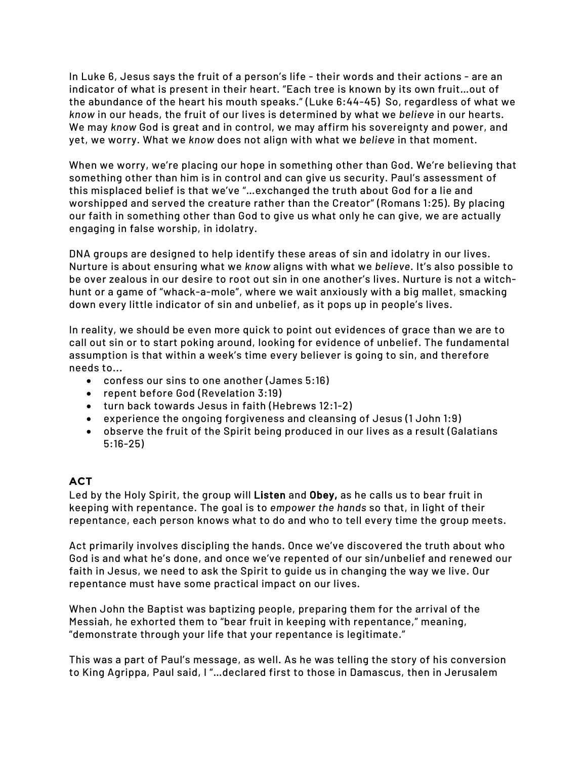In Luke 6, Jesus says the fruit of a person's life - their words and their actions - are an indicator of what is present in their heart. "Each tree is known by its own fruit…out of the abundance of the heart his mouth speaks." (Luke 6:44-45) So, regardless of what we *know* in our heads, the fruit of our lives is determined by what we *believe* in our hearts. We may *know* God is great and in control, we may affirm his sovereignty and power, and yet, we worry. What we *know* does not align with what we *believe* in that moment.

When we worry, we're placing our hope in something other than God. We're believing that something other than him is in control and can give us security. Paul's assessment of this misplaced belief is that we've "…exchanged the truth about God for a lie and worshipped and served the creature rather than the Creator" (Romans 1:25). By placing our faith in something other than God to give us what only he can give, we are actually engaging in false worship, in idolatry.

DNA groups are designed to help identify these areas of sin and idolatry in our lives. Nurture is about ensuring what we *know* aligns with what we *believe*. It's also possible to be over zealous in our desire to root out sin in one another's lives. Nurture is not a witchhunt or a game of "whack-a-mole", where we wait anxiously with a big mallet, smacking down every little indicator of sin and unbelief, as it pops up in people's lives.

In reality, we should be even more quick to point out evidences of grace than we are to call out sin or to start poking around, looking for evidence of unbelief. The fundamental assumption is that within a week's time every believer is going to sin, and therefore needs to...

- confess our sins to one another (James 5:16)
- repent before God (Revelation 3:19)
- turn back towards Jesus in faith (Hebrews 12:1-2)
- experience the ongoing forgiveness and cleansing of Jesus (1 John 1:9)
- observe the fruit of the Spirit being produced in our lives as a result (Galatians 5:16-25)

## **ACT**

Led by the Holy Spirit, the group will Listen and Obey, as he calls us to bear fruit in keeping with repentance. The goal is to *empower the hands* so that, in light of their repentance, each person knows what to do and who to tell every time the group meets.

Act primarily involves discipling the hands. Once we've discovered the truth about who God is and what he's done, and once we've repented of our sin/unbelief and renewed our faith in Jesus, we need to ask the Spirit to guide us in changing the way we live. Our repentance must have some practical impact on our lives.

When John the Baptist was baptizing people, preparing them for the arrival of the Messiah, he exhorted them to "bear fruit in keeping with repentance," meaning, "demonstrate through your life that your repentance is legitimate."

This was a part of Paul's message, as well. As he was telling the story of his conversion to King Agrippa, Paul said, I "…declared first to those in Damascus, then in Jerusalem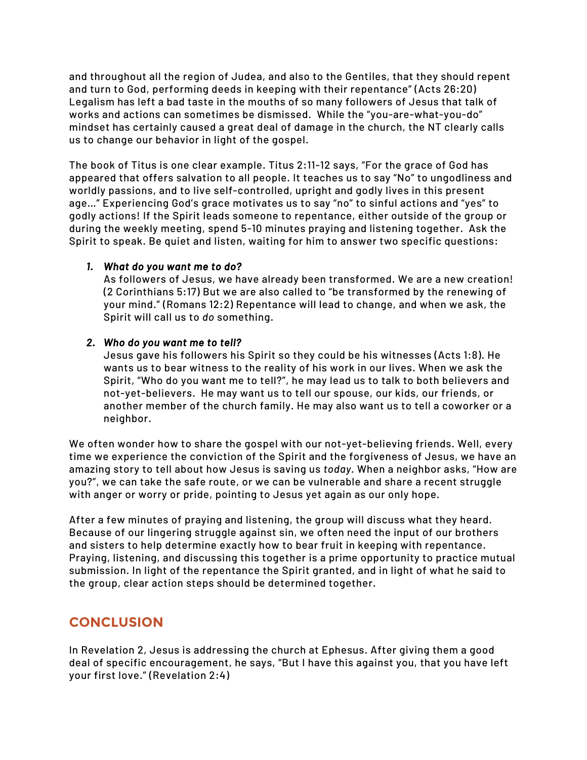and throughout all the region of Judea, and also to the Gentiles, that they should repent and turn to God, performing deeds in keeping with their repentance" (Acts 26:20) Legalism has left a bad taste in the mouths of so many followers of Jesus that talk of works and actions can sometimes be dismissed. While the "you-are-what-you-do" mindset has certainly caused a great deal of damage in the church, the NT clearly calls us to change our behavior in light of the gospel.

The book of Titus is one clear example. Titus 2:11-12 says, "For the grace of God has appeared that offers salvation to all people. It teaches us to say "No" to ungodliness and worldly passions, and to live self-controlled, upright and godly lives in this present age…" Experiencing God's grace motivates us to say "no" to sinful actions and "yes" to godly actions! If the Spirit leads someone to repentance, either outside of the group or during the weekly meeting, spend 5-10 minutes praying and listening together. Ask the Spirit to speak. Be quiet and listen, waiting for him to answer two specific questions:

#### *1. What do you want me to do?*

As followers of Jesus, we have already been transformed. We are a new creation! (2 Corinthians 5:17) But we are also called to "be transformed by the renewing of your mind." (Romans 12:2) Repentance will lead to change, and when we ask, the Spirit will call us to *do* something.

#### *2. Who do you want me to tell?*

Jesus gave his followers his Spirit so they could be his witnesses (Acts 1:8). He wants us to bear witness to the reality of his work in our lives. When we ask the Spirit, "Who do you want me to tell?", he may lead us to talk to both believers and not-yet-believers. He may want us to tell our spouse, our kids, our friends, or another member of the church family. He may also want us to tell a coworker or a neighbor.

We often wonder how to share the gospel with our not-yet-believing friends. Well, every time we experience the conviction of the Spirit and the forgiveness of Jesus, we have an amazing story to tell about how Jesus is saving us *today.* When a neighbor asks, "How are you?", we can take the safe route, or we can be vulnerable and share a recent struggle with anger or worry or pride, pointing to Jesus yet again as our only hope.

After a few minutes of praying and listening, the group will discuss what they heard. Because of our lingering struggle against sin, we often need the input of our brothers and sisters to help determine exactly how to bear fruit in keeping with repentance. Praying, listening, and discussing this together is a prime opportunity to practice mutual submission. In light of the repentance the Spirit granted, and in light of what he said to the group, clear action steps should be determined together.

## **CONCLUSION**

In Revelation 2, Jesus is addressing the church at Ephesus. After giving them a good deal of specific encouragement, he says, "But I have this against you, that you have left your first love." (Revelation 2:4)